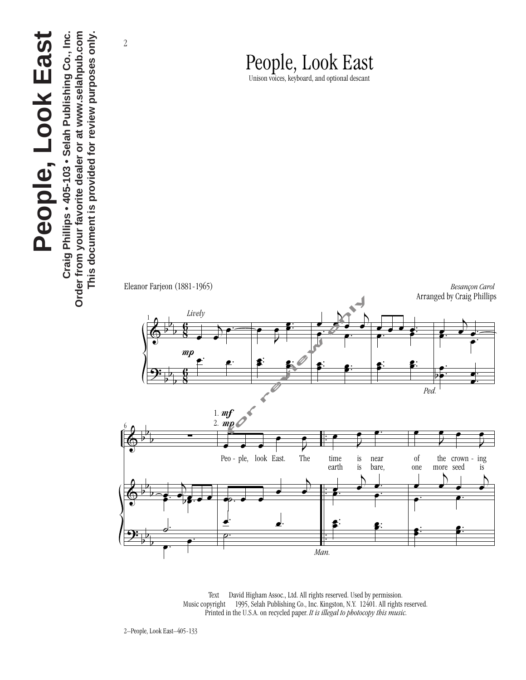## **People, Look East** People, Look East

Order from your favorite dealer or at www.selahpub.com This document is provided for review purposes only. Craig Phillips • 405-103 • Selah Publishing Co., Inc. **Craig Phillips • 405-103 • Selah Publishing Co., Inc. Order from your favorite dealer or at www.selahpub.com This document is provided for review purposes only.**

2

## People, Look East

Unison voices, keyboard, and optional descant

&  $\frac{y}{\sqrt{2}}$  $\frac{1}{2}$  $\frac{1}{1}$  $\frac{1}{2}$  $\overline{a}$  $\frac{1}{1}$  $\overline{a}$  $mp$  $\frac{8}{5}$  $\overline{a}$ 8<br>8 <sup>1</sup> *Lively*  $\frac{1}{a}$  $\bullet$ œ œ.  $\frac{e}{\sqrt{2\pi}}$  $\Box$ œ œ œ. . P<br>F œ.  $\equiv$   $\frac{1}{2}$ E<br>L .  $\frac{1}{2}$  $\frac{e^{i\theta} - e^{i\theta}}{e^{i\theta}}$ œ  $\frac{1}{2}$ P<br>F  $\mathbf{E}$  $\overline{\phantom{a}}$ œ. .  $\frac{1}{2}$ . P<br>F œ.  $\frac{1}{\sqrt{2}}$ œ. .  $\epsilon$ .  $\frac{1}{\sqrt{2\pi}}$  $\bullet$ . *Ped.* œ Ē .  $\frac{1}{\sqrt{2}}$ œ  $\ddot{ }$ . . & &  $\frac{y}{\sqrt{2}}$  $\frac{1}{2}$  $\frac{1}{1}$  $\frac{1}{2}$  $\frac{1}{2}$  $\frac{1}{1}$  $\frac{1}{2}$  $\overline{ }$ b  $\overline{a}$ . . . . . .<br>, ∑  $\left\{\cdot\right.$   $\left\{\cdot\right\}$  $e^{i\theta}$  $\frac{a}{\sqrt{a}}$ œ.  $\frac{p}{mp}$  $\frac{1}{2}$ 1.  $m f$ 2. Peo - ple, look East. Ē r<br>The œ  $\mathbb{R}^2$  $\cdot$  ) œ œ. œ .  $\equiv$ time earth œ  $\frac{1}{1}$ is œ near bare,  $\overline{a}$ P<br>F  $\frac{1}{2}$  $\frac{1}{\cdot}$  $\overline{\phantom{a}}$ P<br>F €<br>⊟  $\overline{\phantom{a}}$ œ. . of one œ the crown - ing more seed œ œ is œ  $\frac{1}{\cdot}$  $\frac{1}{\cdot}$  e  $\frac{1}{\cdot}$ œ  $\overline{\phantom{a}}$ P<br>F  $\mathbf{E}$  $\frac{1}{2}$ œ. . Arranged by Craig Phillips for review only

Eleanor Farjeon (1881-1965) *Besançon Carol*

Text  $\odot$  David Higham Assoc., Ltd. All rights reserved. Used by permission. Music copyright © 1995, Selah Publishing Co., Inc. Kingston, N.Y. 12401. All rights reserved. Printed in the U.S.A. on recycled paper. *It is illegal to photocopy this music.*

*Man.*

 $\overline{\phantom{a}}$ 

6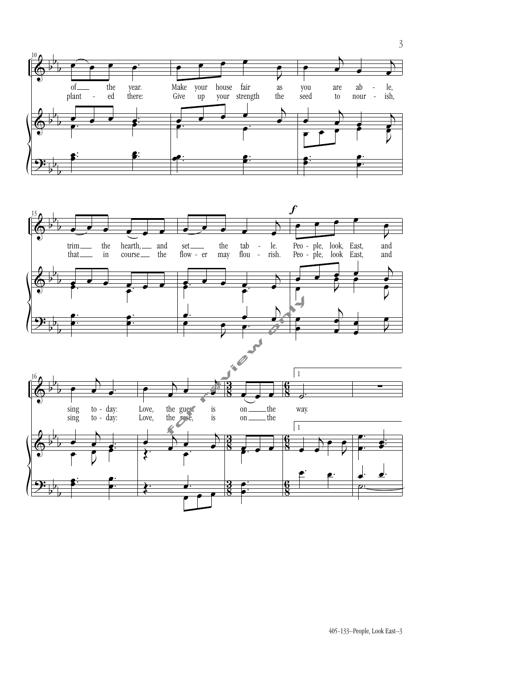

405-133–People, Look East–3

3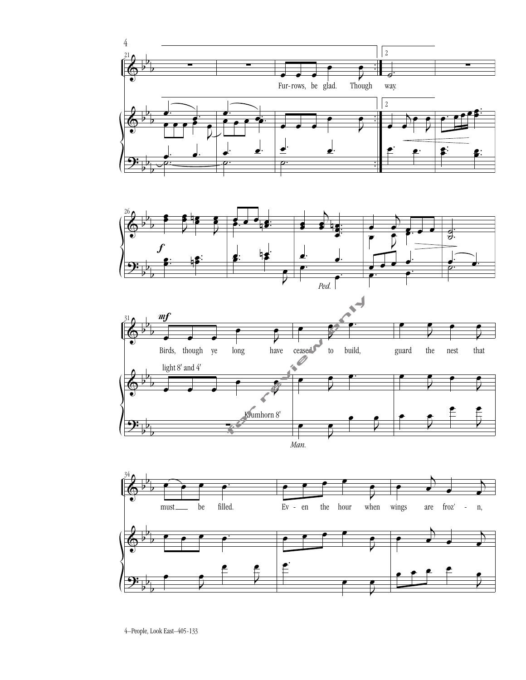







4–People, Look East–405-133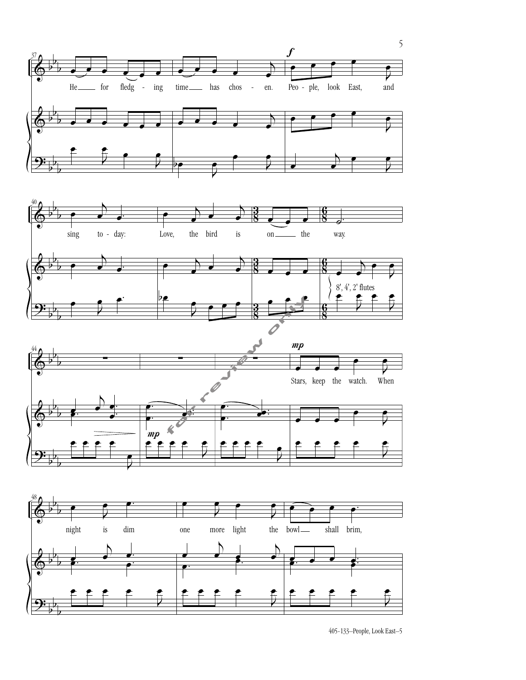







405-133–People, Look East–5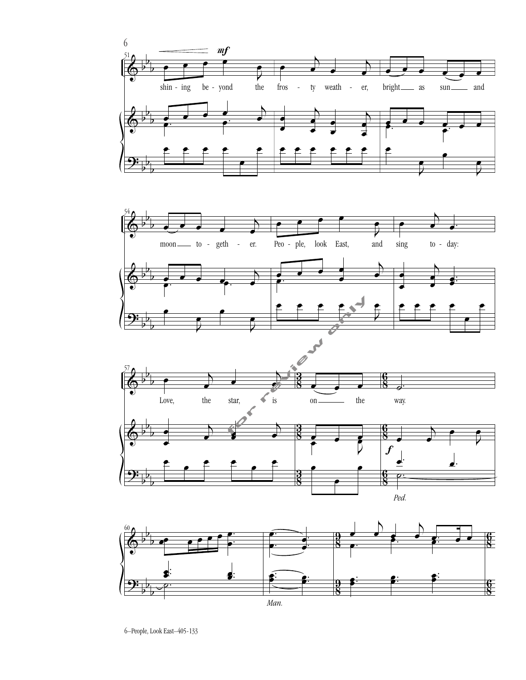







<sup>6–</sup>People, Look East–405-133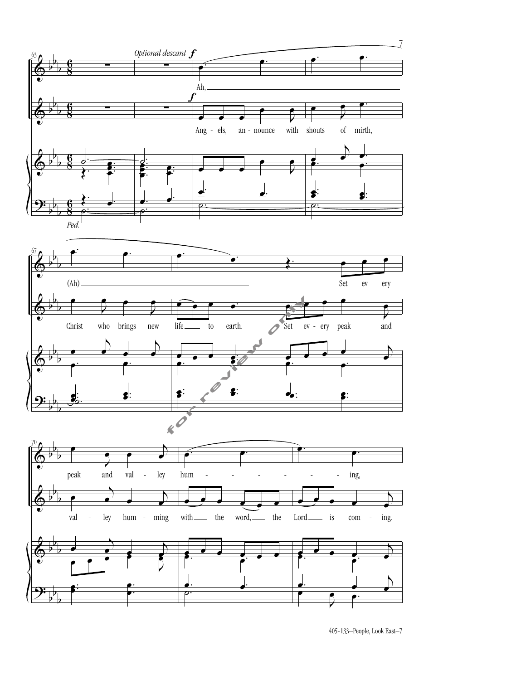

405-133–People, Look East–7